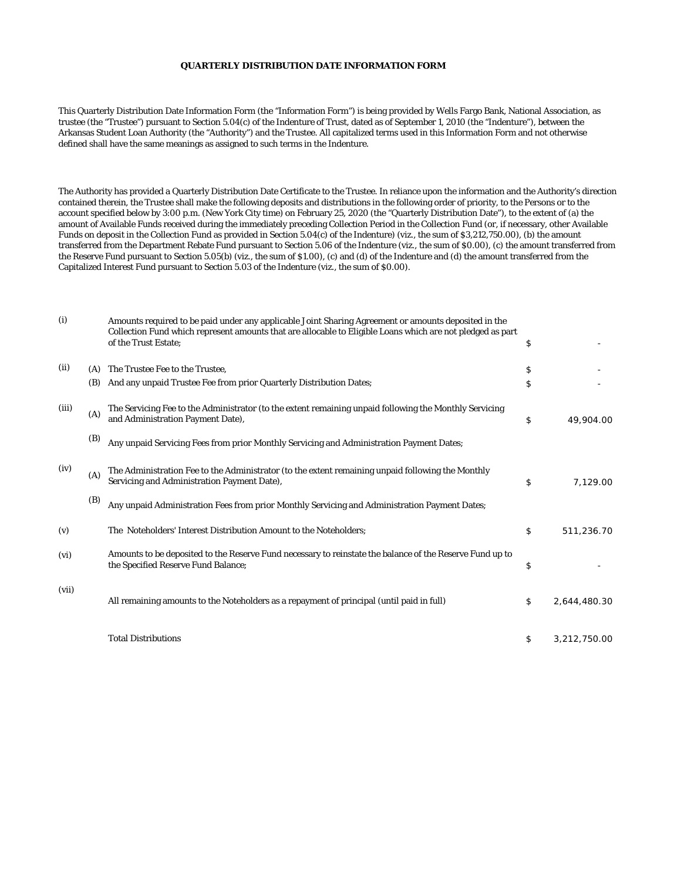## **QUARTERLY DISTRIBUTION DATE INFORMATION FORM**

This Quarterly Distribution Date Information Form (the "Information Form") is being provided by Wells Fargo Bank, National Association, as trustee (the "Trustee") pursuant to Section 5.04(c) of the Indenture of Trust, dated as of September 1, 2010 (the "Indenture"), between the Arkansas Student Loan Authority (the "Authority") and the Trustee. All capitalized terms used in this Information Form and not otherwise defined shall have the same meanings as assigned to such terms in the Indenture.

The Authority has provided a Quarterly Distribution Date Certificate to the Trustee. In reliance upon the information and the Authority's direction contained therein, the Trustee shall make the following deposits and distributions in the following order of priority, to the Persons or to the account specified below by 3:00 p.m. (New York City time) on February 25, 2020 (the "Quarterly Distribution Date"), to the extent of (a) the amount of Available Funds received during the immediately preceding Collection Period in the Collection Fund (or, if necessary, other Available Funds on deposit in the Collection Fund as provided in Section 5.04(c) of the Indenture) (viz., the sum of \$3,212,750.00), (b) the amount transferred from the Department Rebate Fund pursuant to Section 5.06 of the Indenture (viz., the sum of \$0.00), (c) the amount transferred from the Reserve Fund pursuant to Section 5.05(b) (viz., the sum of \$1.00), (c) and (d) of the Indenture and (d) the amount transferred from the Capitalized Interest Fund pursuant to Section 5.03 of the Indenture (viz., the sum of \$0.00).

| (i)   |     | Amounts required to be paid under any applicable Joint Sharing Agreement or amounts deposited in the<br>Collection Fund which represent amounts that are allocable to Eligible Loans which are not pledged as part<br>of the Trust Estate; | \$                 |
|-------|-----|--------------------------------------------------------------------------------------------------------------------------------------------------------------------------------------------------------------------------------------------|--------------------|
|       |     |                                                                                                                                                                                                                                            |                    |
| (ii)  | (A) | The Trustee Fee to the Trustee,                                                                                                                                                                                                            | \$                 |
|       | (B) | And any unpaid Trustee Fee from prior Quarterly Distribution Dates;                                                                                                                                                                        | \$                 |
| (iii) | (A) | The Servicing Fee to the Administrator (to the extent remaining unpaid following the Monthly Servicing<br>and Administration Payment Date),                                                                                                | \$<br>49,904.00    |
|       | (B) | Any unpaid Servicing Fees from prior Monthly Servicing and Administration Payment Dates;                                                                                                                                                   |                    |
| (iv)  | (A) | The Administration Fee to the Administrator (to the extent remaining unpaid following the Monthly<br>Servicing and Administration Payment Date),                                                                                           | \$<br>7,129.00     |
|       | (B) | Any unpaid Administration Fees from prior Monthly Servicing and Administration Payment Dates;                                                                                                                                              |                    |
| (v)   |     | The Noteholders' Interest Distribution Amount to the Noteholders;                                                                                                                                                                          | \$<br>511,236.70   |
| (vi)  |     | Amounts to be deposited to the Reserve Fund necessary to reinstate the balance of the Reserve Fund up to<br>the Specified Reserve Fund Balance;                                                                                            | \$                 |
| (vii) |     | All remaining amounts to the Noteholders as a repayment of principal (until paid in full)                                                                                                                                                  | \$<br>2,644,480.30 |
|       |     | <b>Total Distributions</b>                                                                                                                                                                                                                 | \$<br>3,212,750.00 |